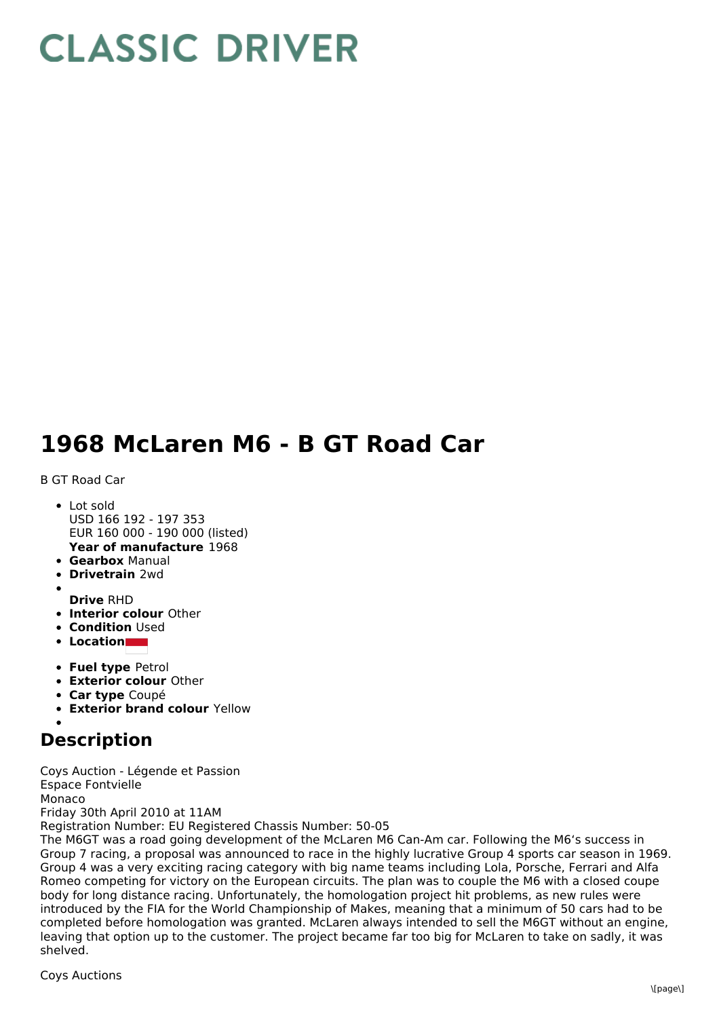## **CLASSIC DRIVER**

## **1968 McLaren M6 - B GT Road Car**

B GT Road Car

- **Year of manufacture** 1968 • Lot sold USD 166 192 - 197 353 EUR 160 000 - 190 000 (listed)
- **Gearbox** Manual
- **Drivetrain** 2wd
- **Drive** RHD
- **Interior colour** Other
- **Condition Used**
- **Location**
- **Fuel type** Petrol
- **Exterior colour** Other
- **Car type** Coupé
- **Exterior brand colour** Yellow

## **Description**

Coys Auction - Légende et Passion Espace Fontvielle Monaco Friday 30th April 2010 at 11AM Registration Number: EU Registered Chassis Number: 50-05

The M6GT was a road going development of the McLaren M6 Can-Am car. Following the M6's success in Group 7 racing, a proposal was announced to race in the highly lucrative Group 4 sports car season in 1969. Group 4 was a very exciting racing category with big name teams including Lola, Porsche, Ferrari and Alfa Romeo competing for victory on the European circuits. The plan was to couple the M6 with a closed coupe body for long distance racing. Unfortunately, the homologation project hit problems, as new rules were introduced by the FIA for the World Championship of Makes, meaning that a minimum of 50 cars had to be completed before homologation was granted. McLaren always intended to sell the M6GT without an engine, leaving that option up to the customer. The project became far too big for McLaren to take on sadly, it was shelved.

Coys Auctions